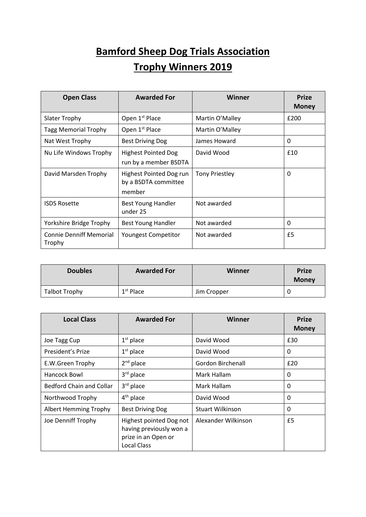## **Bamford Sheep Dog Trials Association Trophy Winners 2019**

| <b>Open Class</b>                        | <b>Awarded For</b>                                        | Winner                | <b>Prize</b><br><b>Money</b> |
|------------------------------------------|-----------------------------------------------------------|-----------------------|------------------------------|
| <b>Slater Trophy</b>                     | Open 1 <sup>st</sup> Place                                | Martin O'Malley       | £200                         |
| <b>Tagg Memorial Trophy</b>              | Open 1 <sup>st</sup> Place                                | Martin O'Malley       |                              |
| Nat West Trophy                          | <b>Best Driving Dog</b>                                   | James Howard          | 0                            |
| Nu Life Windows Trophy                   | <b>Highest Pointed Dog</b><br>run by a member BSDTA       | David Wood            | £10                          |
| David Marsden Trophy                     | Highest Pointed Dog run<br>by a BSDTA committee<br>member | <b>Tony Priestley</b> | 0                            |
| <b>ISDS Rosette</b>                      | <b>Best Young Handler</b><br>under 25                     | Not awarded           |                              |
| Yorkshire Bridge Trophy                  | Best Young Handler                                        | Not awarded           | 0                            |
| <b>Connie Denniff Memorial</b><br>Trophy | <b>Youngest Competitor</b>                                | Not awarded           | £5                           |

| <b>Doubles</b> | <b>Awarded For</b> | Winner      | <b>Prize</b><br><b>Money</b> |
|----------------|--------------------|-------------|------------------------------|
| Talbot Trophy  | $1st$ Place        | Jim Cropper |                              |

| <b>Local Class</b>              | <b>Awarded For</b>                                                                              | Winner                  | <b>Prize</b><br><b>Money</b> |
|---------------------------------|-------------------------------------------------------------------------------------------------|-------------------------|------------------------------|
| Joe Tagg Cup                    | $1st$ place                                                                                     | David Wood              | £30                          |
| President's Prize               | $1st$ place                                                                                     | David Wood              | 0                            |
| E.W.Green Trophy                | $2nd$ place                                                                                     | Gordon Birchenall       | £20                          |
| Hancock Bowl                    | $3rd$ place                                                                                     | Mark Hallam             | 0                            |
| <b>Bedford Chain and Collar</b> | $3rd$ place                                                                                     | Mark Hallam             | 0                            |
| Northwood Trophy                | $4th$ place                                                                                     | David Wood              | 0                            |
| <b>Albert Hemming Trophy</b>    | <b>Best Driving Dog</b>                                                                         | <b>Stuart Wilkinson</b> | 0                            |
| Joe Denniff Trophy              | Highest pointed Dog not<br>having previously won a<br>prize in an Open or<br><b>Local Class</b> | Alexander Wilkinson     | £5                           |